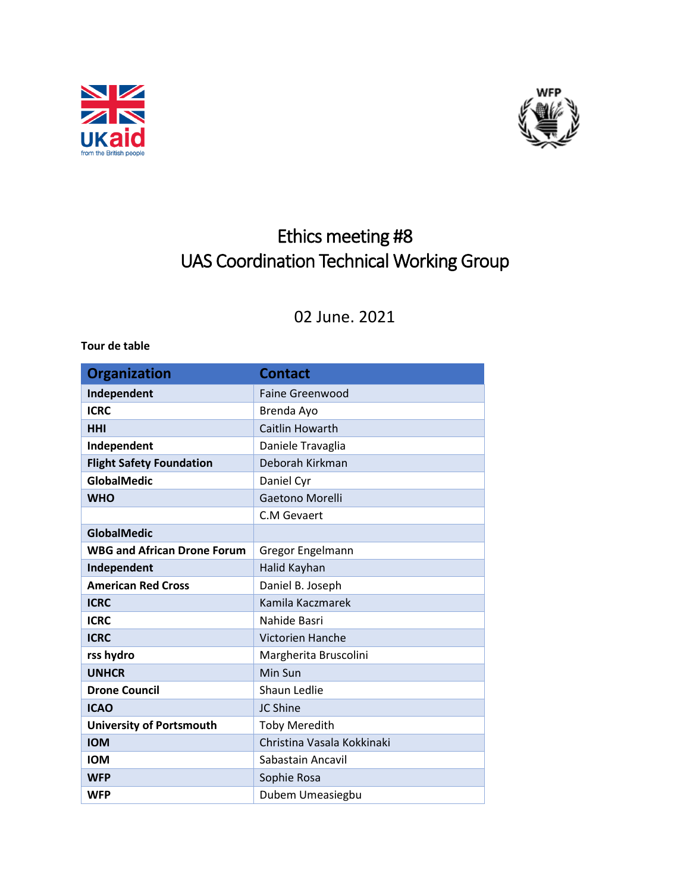



## Ethics meeting #8 UAS Coordination Technical Working Group

## 02 June. 2021

**Tour de table**

| <b>Organization</b>                | <b>Contact</b>             |
|------------------------------------|----------------------------|
| Independent                        | <b>Faine Greenwood</b>     |
| <b>ICRC</b>                        | Brenda Ayo                 |
| <b>HHI</b>                         | <b>Caitlin Howarth</b>     |
| Independent                        | Daniele Travaglia          |
| <b>Flight Safety Foundation</b>    | Deborah Kirkman            |
| GlobalMedic                        | Daniel Cyr                 |
| <b>WHO</b>                         | Gaetono Morelli            |
|                                    | C.M Gevaert                |
| <b>GlobalMedic</b>                 |                            |
| <b>WBG and African Drone Forum</b> | Gregor Engelmann           |
| Independent                        | Halid Kayhan               |
| <b>American Red Cross</b>          | Daniel B. Joseph           |
| <b>ICRC</b>                        | Kamila Kaczmarek           |
| <b>ICRC</b>                        | Nahide Basri               |
| <b>ICRC</b>                        | <b>Victorien Hanche</b>    |
| rss hydro                          | Margherita Bruscolini      |
| <b>UNHCR</b>                       | Min Sun                    |
| <b>Drone Council</b>               | <b>Shaun Ledlie</b>        |
| <b>ICAO</b>                        | JC Shine                   |
| <b>University of Portsmouth</b>    | <b>Toby Meredith</b>       |
| <b>IOM</b>                         | Christina Vasala Kokkinaki |
| <b>IOM</b>                         | Sabastain Ancavil          |
| <b>WFP</b>                         | Sophie Rosa                |
| <b>WFP</b>                         | Dubem Umeasiegbu           |